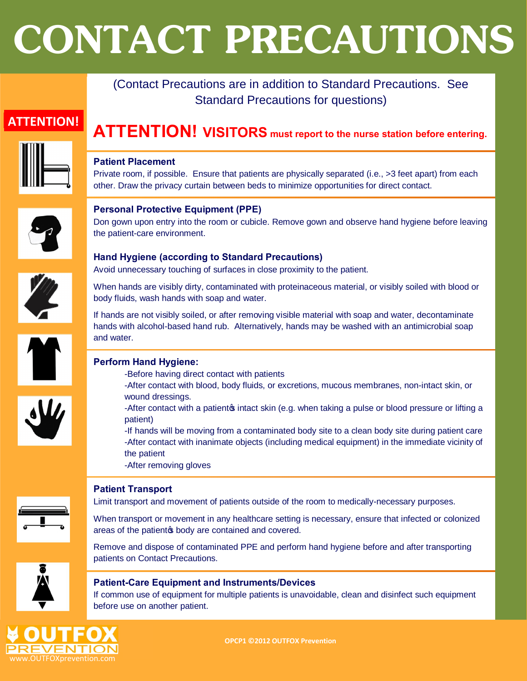# **CONTACT PRECAUTIONS**

(Contact Precautions are in addition to Standard Precautions. See Standard Precautions for questions)

## **ATTENTION!**

# **ATTENTION! VISITORS must report to the nurse station before entering.**



## **Patient Placement**

Private room, if possible. Ensure that patients are physically separated (i.e., >3 feet apart) from each other. Draw the privacy curtain between beds to minimize opportunities for direct contact.



## **Personal Protective Equipment (PPE)**

Don gown upon entry into the room or cubicle. Remove gown and observe hand hygiene before leaving the patient-care environment.



## **Hand Hygiene (according to Standard Precautions)**

Avoid unnecessary touching of surfaces in close proximity to the patient.

When hands are visibly dirty, contaminated with proteinaceous material, or visibly soiled with blood or body fluids, wash hands with soap and water.

If hands are not visibly soiled, or after removing visible material with soap and water, decontaminate hands with alcohol-based hand rub. Alternatively, hands may be washed with an antimicrobial soap and water.



## **Perform Hand Hygiene:**

- -Before having direct contact with patients
- -After contact with blood, body fluids, or excretions, mucous membranes, non-intact skin, or wound dressings.
- -After contact with a patient intact skin (e.g. when taking a pulse or blood pressure or lifting a patient)

-If hands will be moving from a contaminated body site to a clean body site during patient care -After contact with inanimate objects (including medical equipment) in the immediate vicinity of the patient

-After removing gloves



## **Patient Transport**

Limit transport and movement of patients outside of the room to medically-necessary purposes.

When transport or movement in any healthcare setting is necessary, ensure that infected or colonized areas of the patient t body are contained and covered.

Remove and dispose of contaminated PPE and perform hand hygiene before and after transporting patients on Contact Precautions.



www.OUTFOXprevention.com

VENTIOI

## **Patient-Care Equipment and Instruments/Devices**

If common use of equipment for multiple patients is unavoidable, clean and disinfect such equipment before use on another patient.